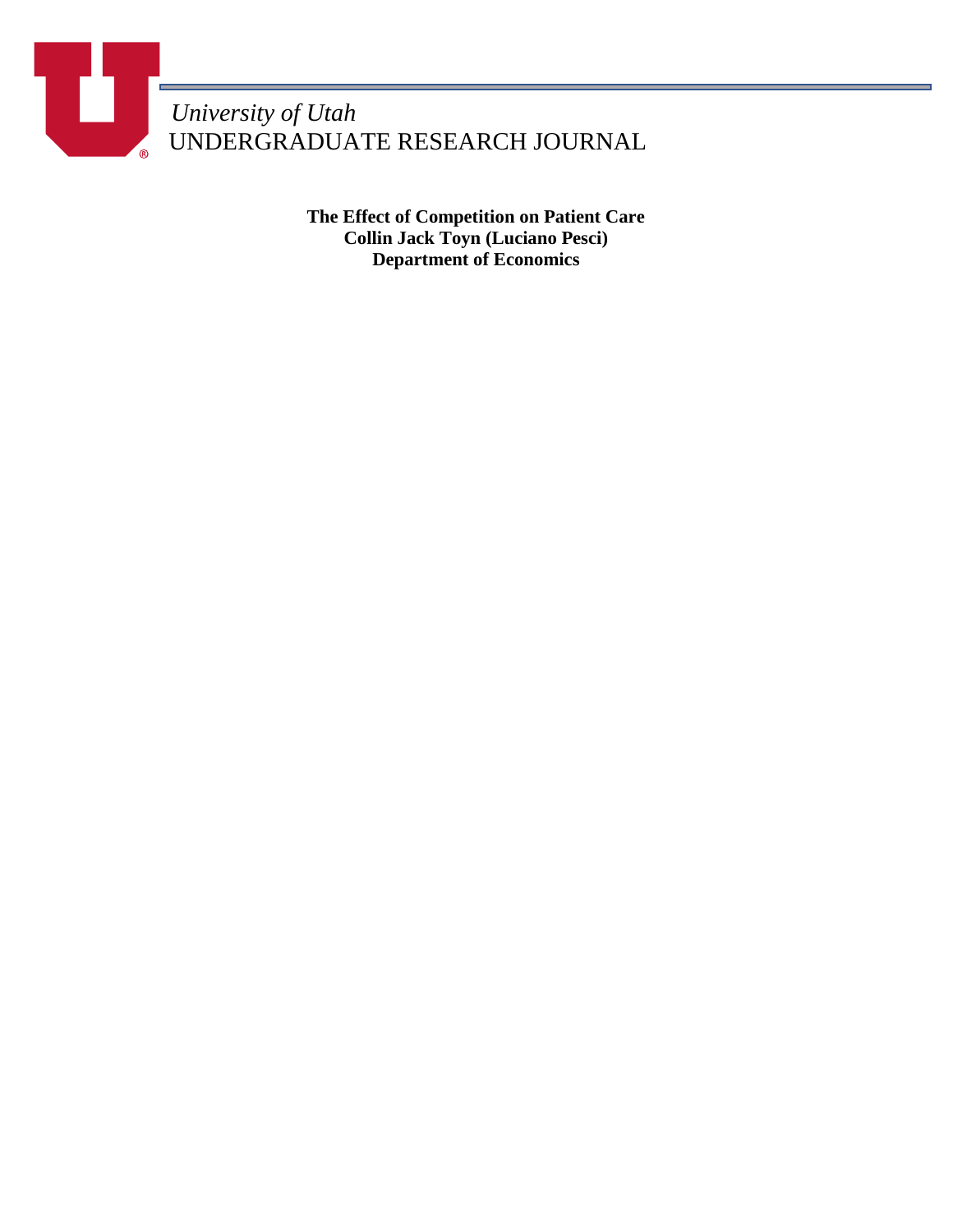*University of Utah* UNDERGRADUATE RESEARCH JOURNAL

> **The Effect of Competition on Patient Care Collin Jack Toyn (Luciano Pesci) Department of Economics**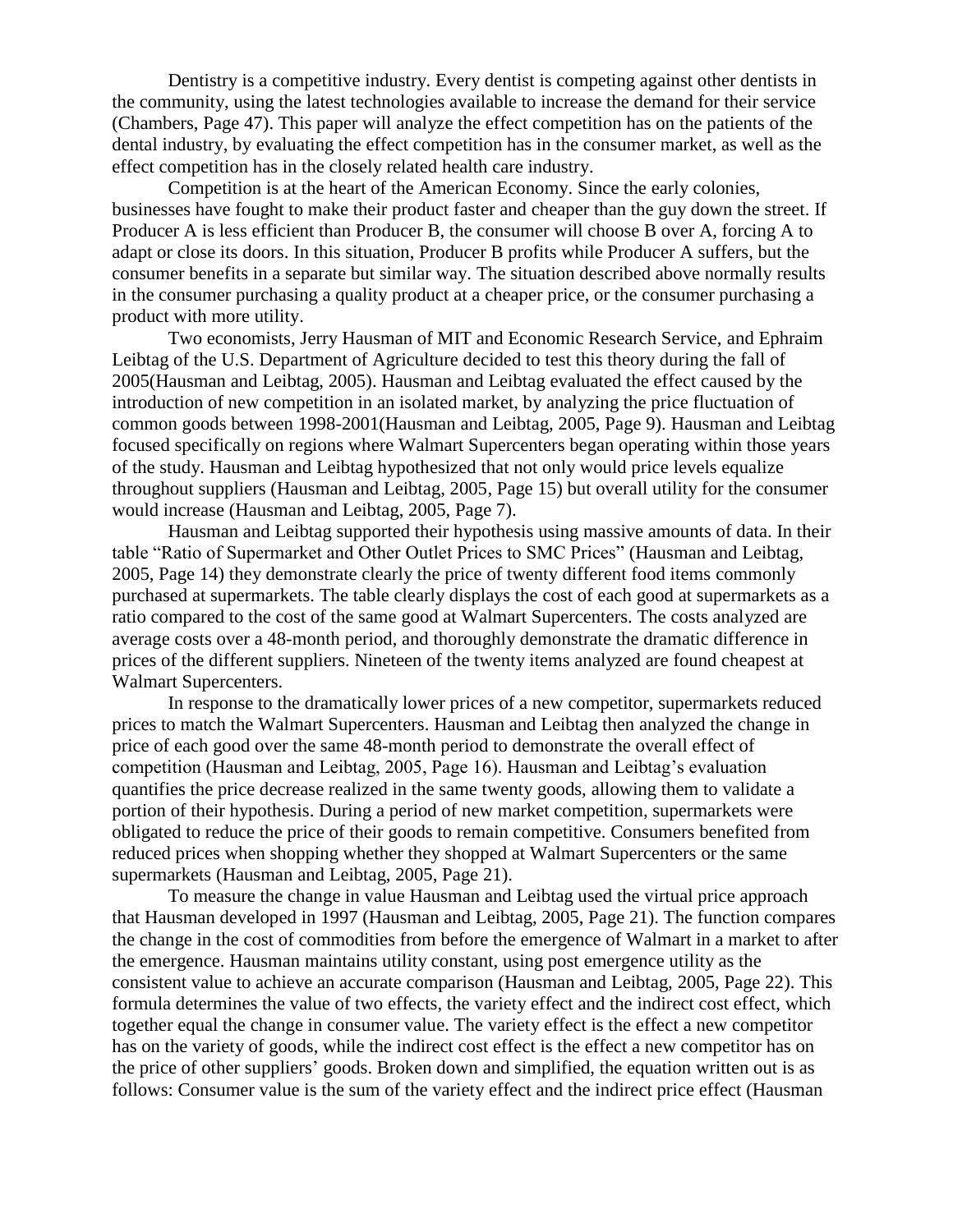Dentistry is a competitive industry. Every dentist is competing against other dentists in the community, using the latest technologies available to increase the demand for their service (Chambers, Page 47). This paper will analyze the effect competition has on the patients of the dental industry, by evaluating the effect competition has in the consumer market, as well as the effect competition has in the closely related health care industry.

Competition is at the heart of the American Economy. Since the early colonies, businesses have fought to make their product faster and cheaper than the guy down the street. If Producer A is less efficient than Producer B, the consumer will choose B over A, forcing A to adapt or close its doors. In this situation, Producer B profits while Producer A suffers, but the consumer benefits in a separate but similar way. The situation described above normally results in the consumer purchasing a quality product at a cheaper price, or the consumer purchasing a product with more utility.

Two economists, Jerry Hausman of MIT and Economic Research Service, and Ephraim Leibtag of the U.S. Department of Agriculture decided to test this theory during the fall of 2005(Hausman and Leibtag, 2005). Hausman and Leibtag evaluated the effect caused by the introduction of new competition in an isolated market, by analyzing the price fluctuation of common goods between 1998-2001(Hausman and Leibtag, 2005, Page 9). Hausman and Leibtag focused specifically on regions where Walmart Supercenters began operating within those years of the study. Hausman and Leibtag hypothesized that not only would price levels equalize throughout suppliers (Hausman and Leibtag, 2005, Page 15) but overall utility for the consumer would increase (Hausman and Leibtag, 2005, Page 7).

Hausman and Leibtag supported their hypothesis using massive amounts of data. In their table "Ratio of Supermarket and Other Outlet Prices to SMC Prices" (Hausman and Leibtag, 2005, Page 14) they demonstrate clearly the price of twenty different food items commonly purchased at supermarkets. The table clearly displays the cost of each good at supermarkets as a ratio compared to the cost of the same good at Walmart Supercenters. The costs analyzed are average costs over a 48-month period, and thoroughly demonstrate the dramatic difference in prices of the different suppliers. Nineteen of the twenty items analyzed are found cheapest at Walmart Supercenters.

In response to the dramatically lower prices of a new competitor, supermarkets reduced prices to match the Walmart Supercenters. Hausman and Leibtag then analyzed the change in price of each good over the same 48-month period to demonstrate the overall effect of competition (Hausman and Leibtag, 2005, Page 16). Hausman and Leibtag's evaluation quantifies the price decrease realized in the same twenty goods, allowing them to validate a portion of their hypothesis. During a period of new market competition, supermarkets were obligated to reduce the price of their goods to remain competitive. Consumers benefited from reduced prices when shopping whether they shopped at Walmart Supercenters or the same supermarkets (Hausman and Leibtag, 2005, Page 21).

To measure the change in value Hausman and Leibtag used the virtual price approach that Hausman developed in 1997 (Hausman and Leibtag, 2005, Page 21). The function compares the change in the cost of commodities from before the emergence of Walmart in a market to after the emergence. Hausman maintains utility constant, using post emergence utility as the consistent value to achieve an accurate comparison (Hausman and Leibtag, 2005, Page 22). This formula determines the value of two effects, the variety effect and the indirect cost effect, which together equal the change in consumer value. The variety effect is the effect a new competitor has on the variety of goods, while the indirect cost effect is the effect a new competitor has on the price of other suppliers' goods. Broken down and simplified, the equation written out is as follows: Consumer value is the sum of the variety effect and the indirect price effect (Hausman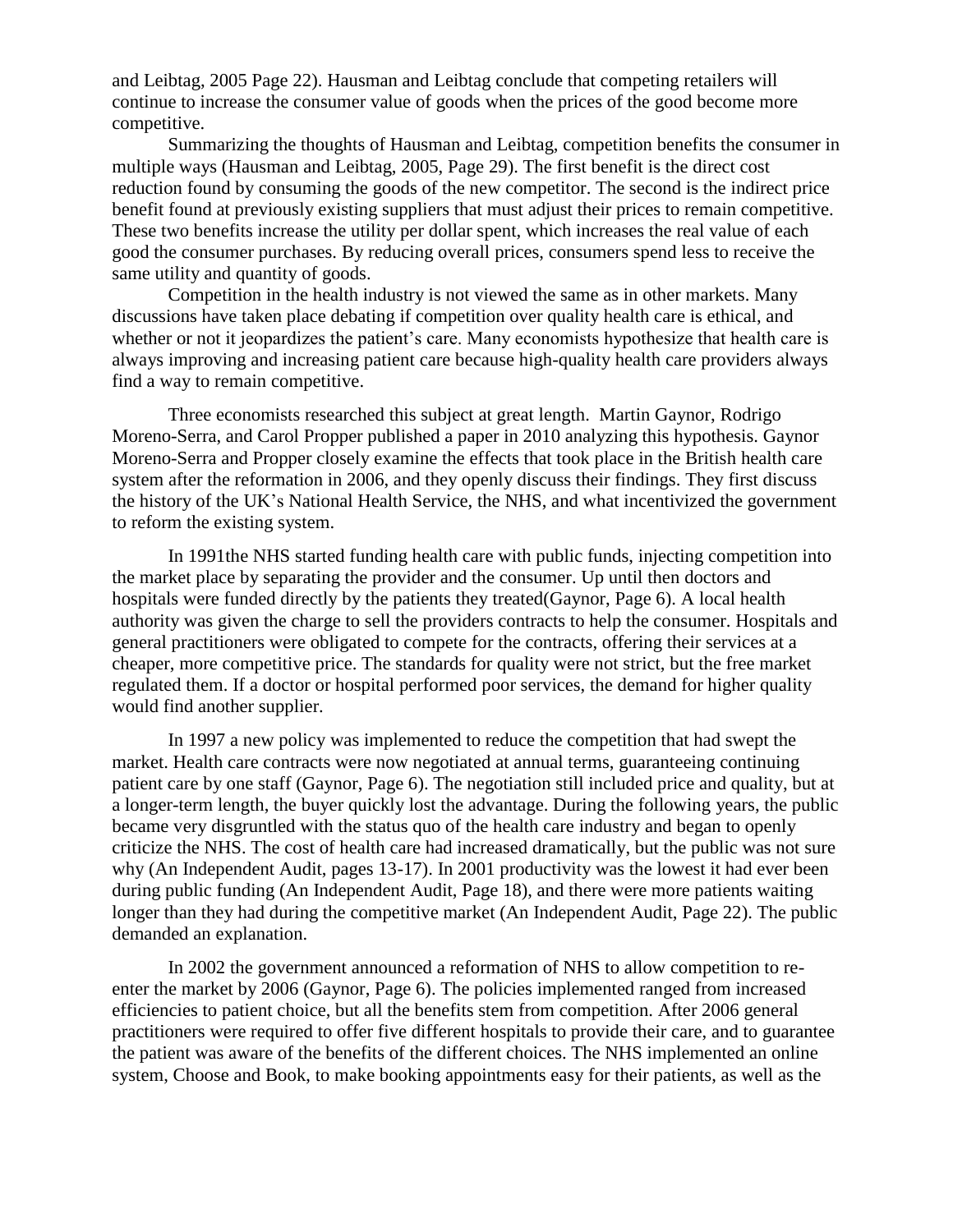and Leibtag, 2005 Page 22). Hausman and Leibtag conclude that competing retailers will continue to increase the consumer value of goods when the prices of the good become more competitive.

Summarizing the thoughts of Hausman and Leibtag, competition benefits the consumer in multiple ways (Hausman and Leibtag, 2005, Page 29). The first benefit is the direct cost reduction found by consuming the goods of the new competitor. The second is the indirect price benefit found at previously existing suppliers that must adjust their prices to remain competitive. These two benefits increase the utility per dollar spent, which increases the real value of each good the consumer purchases. By reducing overall prices, consumers spend less to receive the same utility and quantity of goods.

Competition in the health industry is not viewed the same as in other markets. Many discussions have taken place debating if competition over quality health care is ethical, and whether or not it jeopardizes the patient's care. Many economists hypothesize that health care is always improving and increasing patient care because high-quality health care providers always find a way to remain competitive.

Three economists researched this subject at great length. Martin Gaynor, Rodrigo Moreno-Serra, and Carol Propper published a paper in 2010 analyzing this hypothesis. Gaynor Moreno-Serra and Propper closely examine the effects that took place in the British health care system after the reformation in 2006, and they openly discuss their findings. They first discuss the history of the UK's National Health Service, the NHS, and what incentivized the government to reform the existing system.

In 1991the NHS started funding health care with public funds, injecting competition into the market place by separating the provider and the consumer. Up until then doctors and hospitals were funded directly by the patients they treated(Gaynor, Page 6). A local health authority was given the charge to sell the providers contracts to help the consumer. Hospitals and general practitioners were obligated to compete for the contracts, offering their services at a cheaper, more competitive price. The standards for quality were not strict, but the free market regulated them. If a doctor or hospital performed poor services, the demand for higher quality would find another supplier.

In 1997 a new policy was implemented to reduce the competition that had swept the market. Health care contracts were now negotiated at annual terms, guaranteeing continuing patient care by one staff (Gaynor, Page 6). The negotiation still included price and quality, but at a longer-term length, the buyer quickly lost the advantage. During the following years, the public became very disgruntled with the status quo of the health care industry and began to openly criticize the NHS. The cost of health care had increased dramatically, but the public was not sure why (An Independent Audit, pages 13-17). In 2001 productivity was the lowest it had ever been during public funding (An Independent Audit, Page 18), and there were more patients waiting longer than they had during the competitive market (An Independent Audit, Page 22). The public demanded an explanation.

In 2002 the government announced a reformation of NHS to allow competition to reenter the market by 2006 (Gaynor, Page 6). The policies implemented ranged from increased efficiencies to patient choice, but all the benefits stem from competition. After 2006 general practitioners were required to offer five different hospitals to provide their care, and to guarantee the patient was aware of the benefits of the different choices. The NHS implemented an online system, Choose and Book, to make booking appointments easy for their patients, as well as the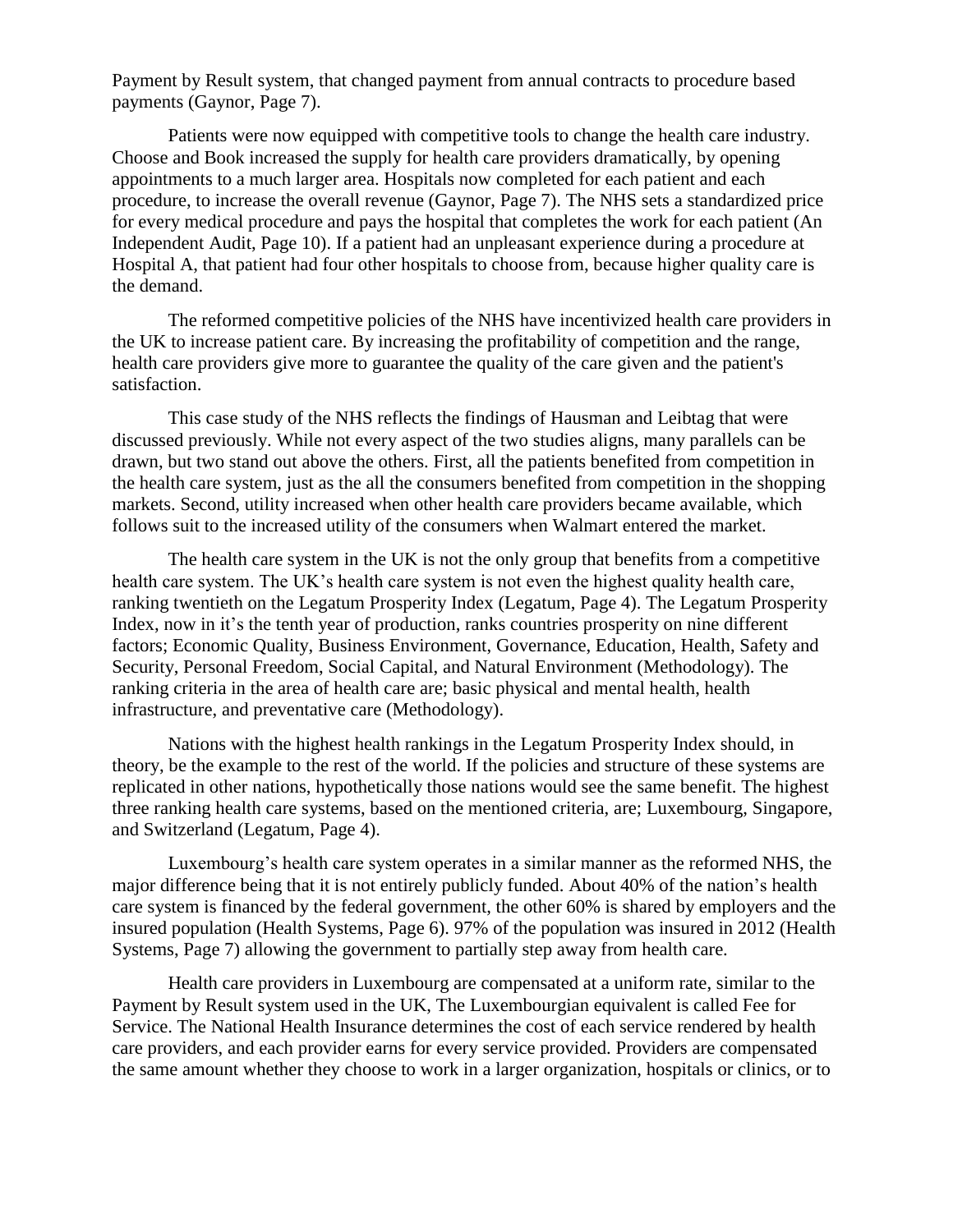Payment by Result system, that changed payment from annual contracts to procedure based payments (Gaynor, Page 7).

Patients were now equipped with competitive tools to change the health care industry. Choose and Book increased the supply for health care providers dramatically, by opening appointments to a much larger area. Hospitals now completed for each patient and each procedure, to increase the overall revenue (Gaynor, Page 7). The NHS sets a standardized price for every medical procedure and pays the hospital that completes the work for each patient (An Independent Audit, Page 10). If a patient had an unpleasant experience during a procedure at Hospital A, that patient had four other hospitals to choose from, because higher quality care is the demand.

The reformed competitive policies of the NHS have incentivized health care providers in the UK to increase patient care. By increasing the profitability of competition and the range, health care providers give more to guarantee the quality of the care given and the patient's satisfaction.

This case study of the NHS reflects the findings of Hausman and Leibtag that were discussed previously. While not every aspect of the two studies aligns, many parallels can be drawn, but two stand out above the others. First, all the patients benefited from competition in the health care system, just as the all the consumers benefited from competition in the shopping markets. Second, utility increased when other health care providers became available, which follows suit to the increased utility of the consumers when Walmart entered the market.

The health care system in the UK is not the only group that benefits from a competitive health care system. The UK's health care system is not even the highest quality health care, ranking twentieth on the Legatum Prosperity Index (Legatum, Page 4). The Legatum Prosperity Index, now in it's the tenth year of production, ranks countries prosperity on nine different factors; Economic Quality, Business Environment, Governance, Education, Health, Safety and Security, Personal Freedom, Social Capital, and Natural Environment (Methodology). The ranking criteria in the area of health care are; basic physical and mental health, health infrastructure, and preventative care (Methodology).

Nations with the highest health rankings in the Legatum Prosperity Index should, in theory, be the example to the rest of the world. If the policies and structure of these systems are replicated in other nations, hypothetically those nations would see the same benefit. The highest three ranking health care systems, based on the mentioned criteria, are; Luxembourg, Singapore, and Switzerland (Legatum, Page 4).

Luxembourg's health care system operates in a similar manner as the reformed NHS, the major difference being that it is not entirely publicly funded. About 40% of the nation's health care system is financed by the federal government, the other 60% is shared by employers and the insured population (Health Systems, Page 6). 97% of the population was insured in 2012 (Health Systems, Page 7) allowing the government to partially step away from health care.

Health care providers in Luxembourg are compensated at a uniform rate, similar to the Payment by Result system used in the UK, The Luxembourgian equivalent is called Fee for Service. The National Health Insurance determines the cost of each service rendered by health care providers, and each provider earns for every service provided. Providers are compensated the same amount whether they choose to work in a larger organization, hospitals or clinics, or to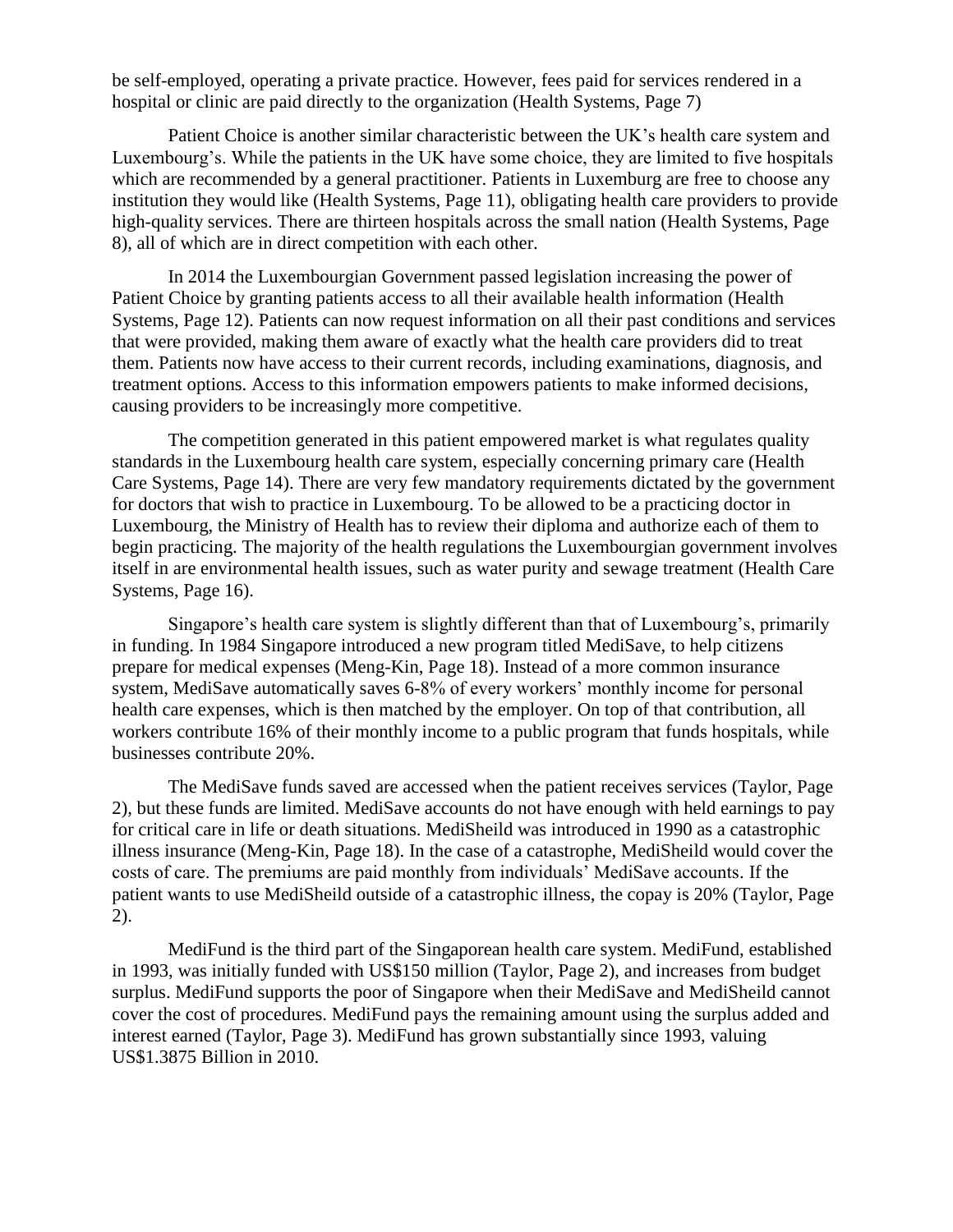be self-employed, operating a private practice. However, fees paid for services rendered in a hospital or clinic are paid directly to the organization (Health Systems, Page 7)

Patient Choice is another similar characteristic between the UK's health care system and Luxembourg's. While the patients in the UK have some choice, they are limited to five hospitals which are recommended by a general practitioner. Patients in Luxemburg are free to choose any institution they would like (Health Systems, Page 11), obligating health care providers to provide high-quality services. There are thirteen hospitals across the small nation (Health Systems, Page 8), all of which are in direct competition with each other.

In 2014 the Luxembourgian Government passed legislation increasing the power of Patient Choice by granting patients access to all their available health information (Health Systems, Page 12). Patients can now request information on all their past conditions and services that were provided, making them aware of exactly what the health care providers did to treat them. Patients now have access to their current records, including examinations, diagnosis, and treatment options. Access to this information empowers patients to make informed decisions, causing providers to be increasingly more competitive.

The competition generated in this patient empowered market is what regulates quality standards in the Luxembourg health care system, especially concerning primary care (Health Care Systems, Page 14). There are very few mandatory requirements dictated by the government for doctors that wish to practice in Luxembourg. To be allowed to be a practicing doctor in Luxembourg, the Ministry of Health has to review their diploma and authorize each of them to begin practicing. The majority of the health regulations the Luxembourgian government involves itself in are environmental health issues, such as water purity and sewage treatment (Health Care Systems, Page 16).

Singapore's health care system is slightly different than that of Luxembourg's, primarily in funding. In 1984 Singapore introduced a new program titled MediSave, to help citizens prepare for medical expenses (Meng-Kin, Page 18). Instead of a more common insurance system, MediSave automatically saves 6-8% of every workers' monthly income for personal health care expenses, which is then matched by the employer. On top of that contribution, all workers contribute 16% of their monthly income to a public program that funds hospitals, while businesses contribute 20%.

The MediSave funds saved are accessed when the patient receives services (Taylor, Page 2), but these funds are limited. MediSave accounts do not have enough with held earnings to pay for critical care in life or death situations. MediSheild was introduced in 1990 as a catastrophic illness insurance (Meng-Kin, Page 18). In the case of a catastrophe, MediSheild would cover the costs of care. The premiums are paid monthly from individuals' MediSave accounts. If the patient wants to use MediSheild outside of a catastrophic illness, the copay is 20% (Taylor, Page 2).

MediFund is the third part of the Singaporean health care system. MediFund, established in 1993, was initially funded with US\$150 million (Taylor, Page 2), and increases from budget surplus. MediFund supports the poor of Singapore when their MediSave and MediSheild cannot cover the cost of procedures. MediFund pays the remaining amount using the surplus added and interest earned (Taylor, Page 3). MediFund has grown substantially since 1993, valuing US\$1.3875 Billion in 2010.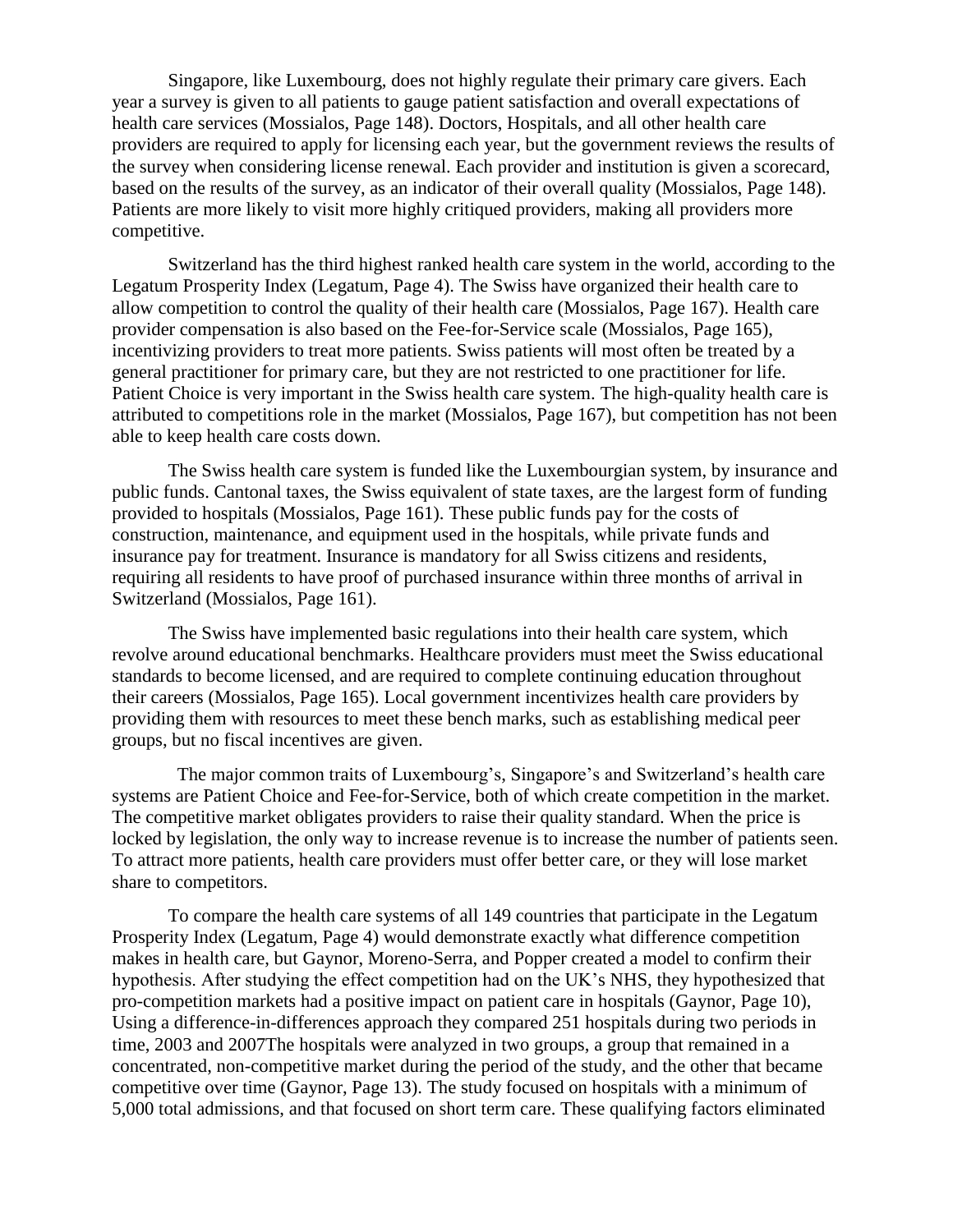Singapore, like Luxembourg, does not highly regulate their primary care givers. Each year a survey is given to all patients to gauge patient satisfaction and overall expectations of health care services (Mossialos, Page 148). Doctors, Hospitals, and all other health care providers are required to apply for licensing each year, but the government reviews the results of the survey when considering license renewal. Each provider and institution is given a scorecard, based on the results of the survey, as an indicator of their overall quality (Mossialos, Page 148). Patients are more likely to visit more highly critiqued providers, making all providers more competitive.

Switzerland has the third highest ranked health care system in the world, according to the Legatum Prosperity Index (Legatum, Page 4). The Swiss have organized their health care to allow competition to control the quality of their health care (Mossialos, Page 167). Health care provider compensation is also based on the Fee-for-Service scale (Mossialos, Page 165), incentivizing providers to treat more patients. Swiss patients will most often be treated by a general practitioner for primary care, but they are not restricted to one practitioner for life. Patient Choice is very important in the Swiss health care system. The high-quality health care is attributed to competitions role in the market (Mossialos, Page 167), but competition has not been able to keep health care costs down.

The Swiss health care system is funded like the Luxembourgian system, by insurance and public funds. Cantonal taxes, the Swiss equivalent of state taxes, are the largest form of funding provided to hospitals (Mossialos, Page 161). These public funds pay for the costs of construction, maintenance, and equipment used in the hospitals, while private funds and insurance pay for treatment. Insurance is mandatory for all Swiss citizens and residents, requiring all residents to have proof of purchased insurance within three months of arrival in Switzerland (Mossialos, Page 161).

The Swiss have implemented basic regulations into their health care system, which revolve around educational benchmarks. Healthcare providers must meet the Swiss educational standards to become licensed, and are required to complete continuing education throughout their careers (Mossialos, Page 165). Local government incentivizes health care providers by providing them with resources to meet these bench marks, such as establishing medical peer groups, but no fiscal incentives are given.

The major common traits of Luxembourg's, Singapore's and Switzerland's health care systems are Patient Choice and Fee-for-Service, both of which create competition in the market. The competitive market obligates providers to raise their quality standard. When the price is locked by legislation, the only way to increase revenue is to increase the number of patients seen. To attract more patients, health care providers must offer better care, or they will lose market share to competitors.

To compare the health care systems of all 149 countries that participate in the Legatum Prosperity Index (Legatum, Page 4) would demonstrate exactly what difference competition makes in health care, but Gaynor, Moreno-Serra, and Popper created a model to confirm their hypothesis. After studying the effect competition had on the UK's NHS, they hypothesized that pro-competition markets had a positive impact on patient care in hospitals (Gaynor, Page 10), Using a difference-in-differences approach they compared 251 hospitals during two periods in time, 2003 and 2007The hospitals were analyzed in two groups, a group that remained in a concentrated, non-competitive market during the period of the study, and the other that became competitive over time (Gaynor, Page 13). The study focused on hospitals with a minimum of 5,000 total admissions, and that focused on short term care. These qualifying factors eliminated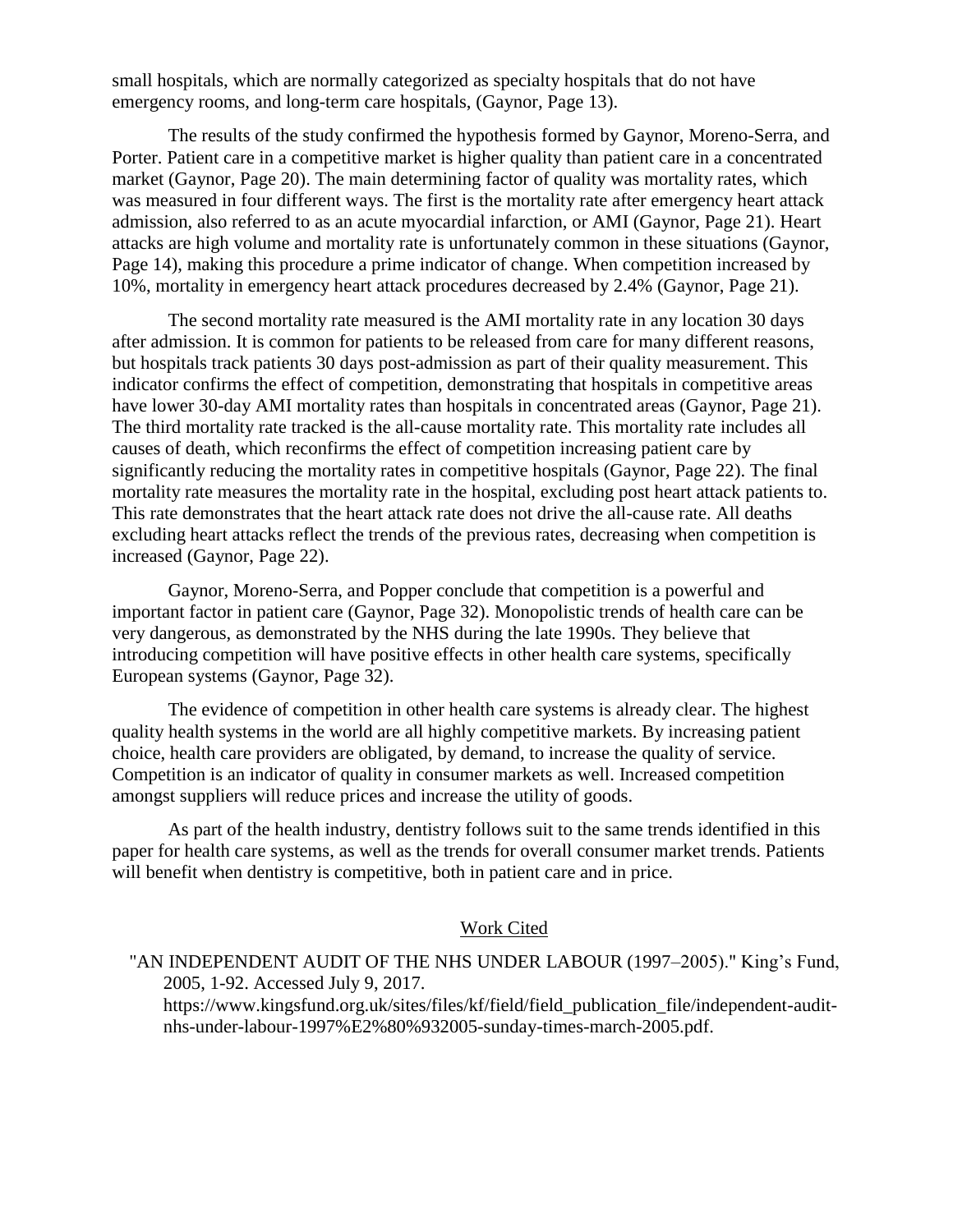small hospitals, which are normally categorized as specialty hospitals that do not have emergency rooms, and long-term care hospitals, (Gaynor, Page 13).

The results of the study confirmed the hypothesis formed by Gaynor, Moreno-Serra, and Porter. Patient care in a competitive market is higher quality than patient care in a concentrated market (Gaynor, Page 20). The main determining factor of quality was mortality rates, which was measured in four different ways. The first is the mortality rate after emergency heart attack admission, also referred to as an acute myocardial infarction, or AMI (Gaynor, Page 21). Heart attacks are high volume and mortality rate is unfortunately common in these situations (Gaynor, Page 14), making this procedure a prime indicator of change. When competition increased by 10%, mortality in emergency heart attack procedures decreased by 2.4% (Gaynor, Page 21).

The second mortality rate measured is the AMI mortality rate in any location 30 days after admission. It is common for patients to be released from care for many different reasons, but hospitals track patients 30 days post-admission as part of their quality measurement. This indicator confirms the effect of competition, demonstrating that hospitals in competitive areas have lower 30-day AMI mortality rates than hospitals in concentrated areas (Gaynor, Page 21). The third mortality rate tracked is the all-cause mortality rate. This mortality rate includes all causes of death, which reconfirms the effect of competition increasing patient care by significantly reducing the mortality rates in competitive hospitals (Gaynor, Page 22). The final mortality rate measures the mortality rate in the hospital, excluding post heart attack patients to. This rate demonstrates that the heart attack rate does not drive the all-cause rate. All deaths excluding heart attacks reflect the trends of the previous rates, decreasing when competition is increased (Gaynor, Page 22).

Gaynor, Moreno-Serra, and Popper conclude that competition is a powerful and important factor in patient care (Gaynor, Page 32). Monopolistic trends of health care can be very dangerous, as demonstrated by the NHS during the late 1990s. They believe that introducing competition will have positive effects in other health care systems, specifically European systems (Gaynor, Page 32).

The evidence of competition in other health care systems is already clear. The highest quality health systems in the world are all highly competitive markets. By increasing patient choice, health care providers are obligated, by demand, to increase the quality of service. Competition is an indicator of quality in consumer markets as well. Increased competition amongst suppliers will reduce prices and increase the utility of goods.

As part of the health industry, dentistry follows suit to the same trends identified in this paper for health care systems, as well as the trends for overall consumer market trends. Patients will benefit when dentistry is competitive, both in patient care and in price.

## Work Cited

## "AN INDEPENDENT AUDIT OF THE NHS UNDER LABOUR (1997–2005)." King's Fund, 2005, 1-92. Accessed July 9, 2017. https://www.kingsfund.org.uk/sites/files/kf/field/field\_publication\_file/independent-auditnhs-under-labour-1997%E2%80%932005-sunday-times-march-2005.pdf.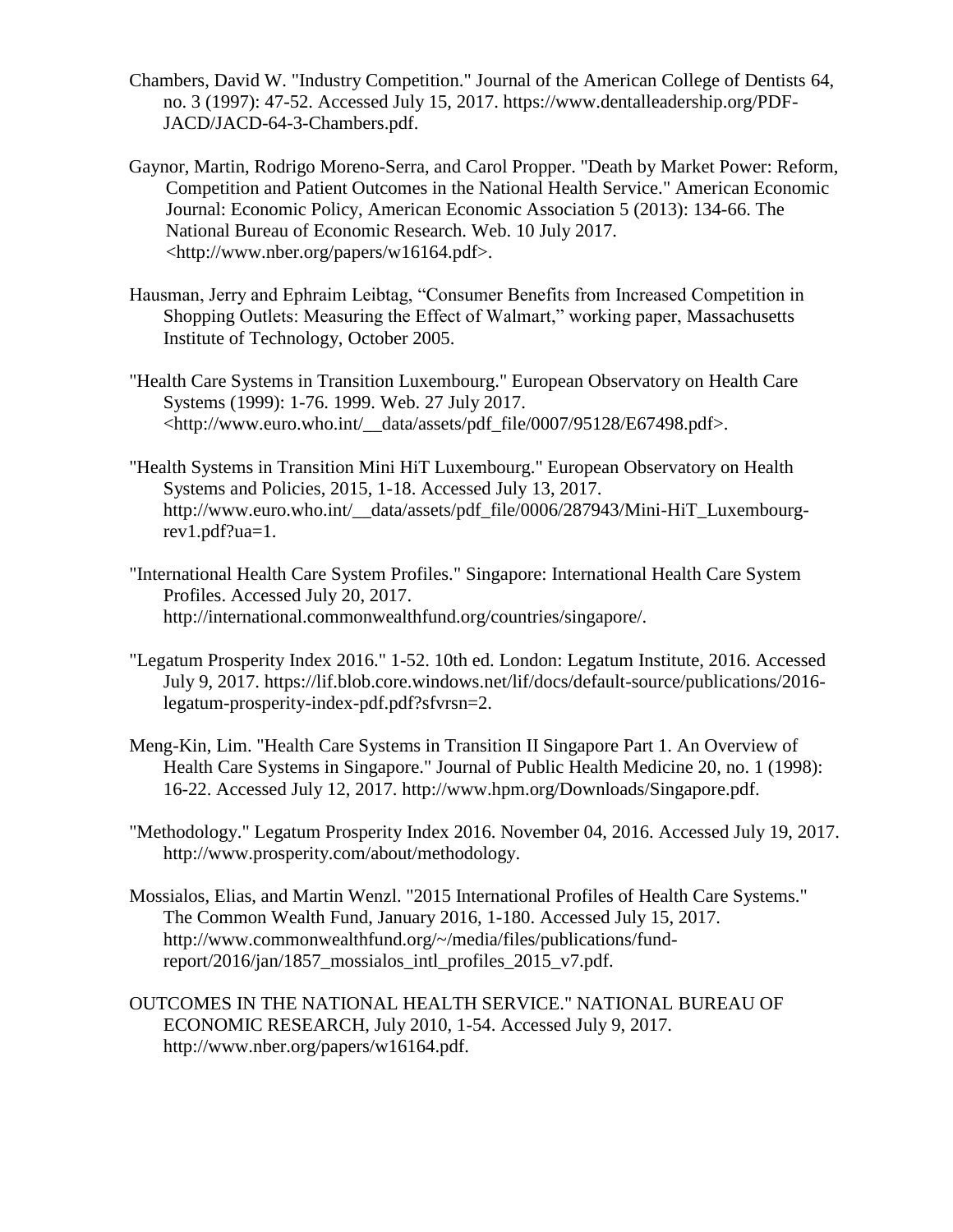- Chambers, David W. "Industry Competition." Journal of the American College of Dentists 64, no. 3 (1997): 47-52. Accessed July 15, 2017. https://www.dentalleadership.org/PDF-JACD/JACD-64-3-Chambers.pdf.
- Gaynor, Martin, Rodrigo Moreno-Serra, and Carol Propper. "Death by Market Power: Reform, Competition and Patient Outcomes in the National Health Service." American Economic Journal: Economic Policy, American Economic Association 5 (2013): 134-66. The National Bureau of Economic Research. Web. 10 July 2017. <http://www.nber.org/papers/w16164.pdf>.
- Hausman, Jerry and Ephraim Leibtag, "Consumer Benefits from Increased Competition in Shopping Outlets: Measuring the Effect of Walmart," working paper, Massachusetts Institute of Technology, October 2005.
- "Health Care Systems in Transition Luxembourg." European Observatory on Health Care Systems (1999): 1-76. 1999. Web. 27 July 2017. <http://www.euro.who.int/\_\_data/assets/pdf\_file/0007/95128/E67498.pdf>.
- "Health Systems in Transition Mini HiT Luxembourg." European Observatory on Health Systems and Policies, 2015, 1-18. Accessed July 13, 2017. http://www.euro.who.int/\_\_data/assets/pdf\_file/0006/287943/Mini-HiT\_Luxembourgrev1.pdf?ua=1.
- "International Health Care System Profiles." Singapore: International Health Care System Profiles. Accessed July 20, 2017. http://international.commonwealthfund.org/countries/singapore/.
- "Legatum Prosperity Index 2016." 1-52. 10th ed. London: Legatum Institute, 2016. Accessed July 9, 2017. https://lif.blob.core.windows.net/lif/docs/default-source/publications/2016 legatum-prosperity-index-pdf.pdf?sfvrsn=2.
- Meng-Kin, Lim. "Health Care Systems in Transition II Singapore Part 1. An Overview of Health Care Systems in Singapore." Journal of Public Health Medicine 20, no. 1 (1998): 16-22. Accessed July 12, 2017. http://www.hpm.org/Downloads/Singapore.pdf.
- "Methodology." Legatum Prosperity Index 2016. November 04, 2016. Accessed July 19, 2017. http://www.prosperity.com/about/methodology.
- Mossialos, Elias, and Martin Wenzl. "2015 International Profiles of Health Care Systems." The Common Wealth Fund, January 2016, 1-180. Accessed July 15, 2017. http://www.commonwealthfund.org/~/media/files/publications/fundreport/2016/jan/1857 mossialos intl profiles 2015 v7.pdf.
- OUTCOMES IN THE NATIONAL HEALTH SERVICE." NATIONAL BUREAU OF ECONOMIC RESEARCH, July 2010, 1-54. Accessed July 9, 2017. http://www.nber.org/papers/w16164.pdf.